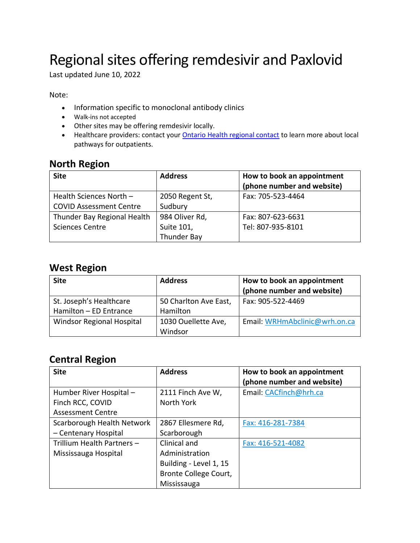# Regional sites offering remdesivir and Paxlovid

Last updated June 10, 2022

Note:

- Information specific to monoclonal antibody clinics
- Walk-ins not accepted
- Other sites may be offering remdesivir locally.
- Healthcare providers: contact your **Ontario Health regional contact** to learn more about local pathways for outpatients.

### **North Region**

| <b>Site</b>                    | <b>Address</b>  | How to book an appointment<br>(phone number and website) |
|--------------------------------|-----------------|----------------------------------------------------------|
| Health Sciences North $-$      | 2050 Regent St, | Fax: 705-523-4464                                        |
| <b>COVID Assessment Centre</b> | Sudbury         |                                                          |
| Thunder Bay Regional Health    | 984 Oliver Rd,  | Fax: 807-623-6631                                        |
| <b>Sciences Centre</b>         | Suite 101,      | Tel: 807-935-8101                                        |
|                                | Thunder Bay     |                                                          |

### **West Region**

| <b>Site</b>                                       | <b>Address</b>                    | How to book an appointment<br>(phone number and website) |
|---------------------------------------------------|-----------------------------------|----------------------------------------------------------|
| St. Joseph's Healthcare<br>Hamilton - ED Entrance | 50 Charlton Ave East,<br>Hamilton | Fax: 905-522-4469                                        |
| <b>Windsor Regional Hospital</b>                  | 1030 Ouellette Ave,<br>Windsor    | Email: WRHmAbclinic@wrh.on.ca                            |

## **Central Region**

| <b>Site</b>                | <b>Address</b>         | How to book an appointment<br>(phone number and website) |
|----------------------------|------------------------|----------------------------------------------------------|
| Humber River Hospital -    | 2111 Finch Ave W,      | Email: CACfinch@hrh.ca                                   |
| Finch RCC, COVID           | North York             |                                                          |
| <b>Assessment Centre</b>   |                        |                                                          |
| Scarborough Health Network | 2867 Ellesmere Rd,     | Fax: 416-281-7384                                        |
| - Centenary Hospital       | Scarborough            |                                                          |
| Trillium Health Partners - | Clinical and           | Fax: 416-521-4082                                        |
| Mississauga Hospital       | Administration         |                                                          |
|                            | Building - Level 1, 15 |                                                          |
|                            | Bronte College Court,  |                                                          |
|                            | Mississauga            |                                                          |